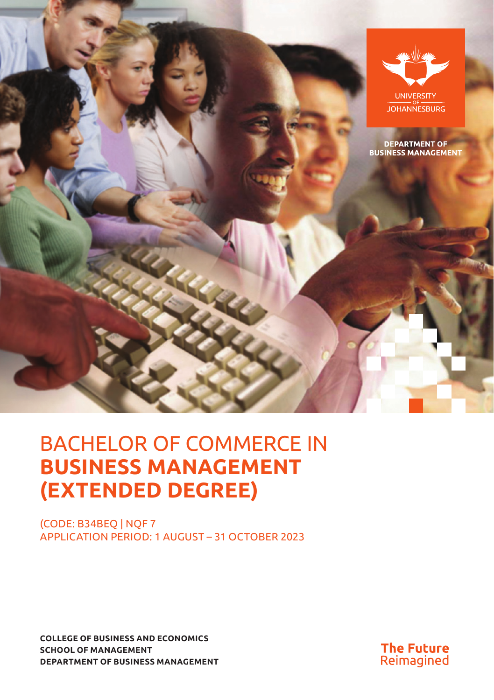

# BACHELOR OF COMMERCE IN **BUSINESS MANAGEMENT (EXTENDED DEGREE)**

(CODE: B34BEQ | NQF 7 APPLICATION PERIOD: 1 AUGUST – 31 OCTOBER 2023

**COLLEGE OF BUSINESS AND ECONOMICS SCHOOL OF MANAGEMENT DEPARTMENT OF BUSINESS MANAGEMENT**

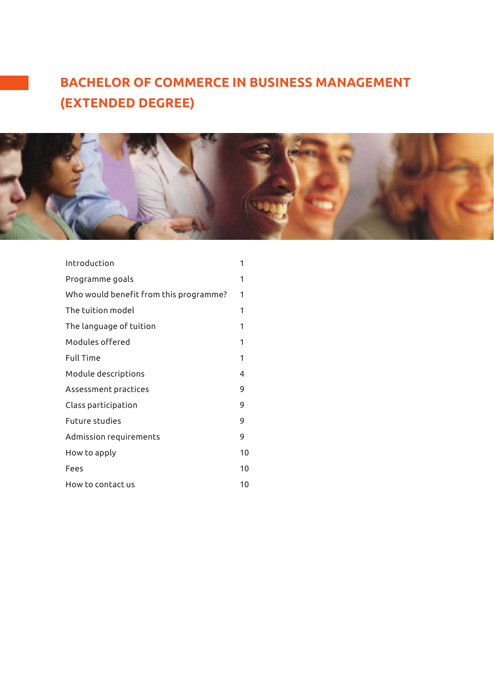# **BACHELOR OF COMMERCE IN BUSINESS MANAGEMENT (EXTENDED DEGREE)**



| Introduction                           | 1  |
|----------------------------------------|----|
| Programme goals                        | 1  |
| Who would benefit from this programme? | 1  |
| The tuition model                      | 1  |
| The language of tuition                | 1  |
| Modules offered                        | 1  |
| <b>Full Time</b>                       | 1  |
| Module descriptions                    | 4  |
| Assessment practices                   | 9  |
| Class participation                    | 9  |
| <b>Future studies</b>                  | 9  |
| Admission requirements                 | 9  |
| How to apply                           | 10 |
| Fees                                   | 10 |
| How to contact us                      | 10 |
|                                        |    |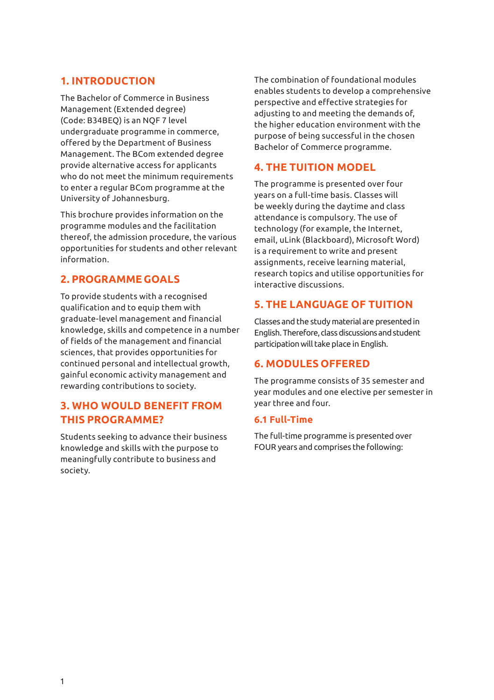# **1. INTRODUCTION**

The Bachelor of Commerce in Business Management (Extended degree) (Code: B34BEQ) is an NQF 7 level undergraduate programme in commerce, offered by the Department of Business Management. The BCom extended degree provide alternative access for applicants who do not meet the minimum requirements to enter a regular BCom programme at the University of Johannesburg.

This brochure provides information on the programme modules and the facilitation thereof, the admission procedure, the various opportunities for students and other relevant information.

# **2. PROGRAMME GOALS**

To provide students with a recognised qualification and to equip them with graduate-level management and financial knowledge, skills and competence in a number of fields of the management and financial sciences, that provides opportunities for continued personal and intellectual growth, gainful economic activity management and rewarding contributions to society.

# **3. WHO WOULD BENEFIT FROM THIS PROGRAMME?**

Students seeking to advance their business knowledge and skills with the purpose to meaningfully contribute to business and society.

The combination of foundational modules enables students to develop a comprehensive perspective and effective strategies for adjusting to and meeting the demands of, the higher education environment with the purpose of being successful in the chosen Bachelor of Commerce programme.

# **4. THE TUITION MODEL**

The programme is presented over four years on a full-time basis. Classes will be weekly during the daytime and class attendance is compulsory. The use of technology (for example, the Internet, email, uLink (Blackboard), Microsoft Word) is a requirement to write and present assignments, receive learning material, research topics and utilise opportunities for interactive discussions.

# **5. THE LANGUAGE OF TUITION**

Classes and the study material are presented in English. Therefore, class discussions and student participation will take place in English.

# **6. MODULES OFFERED**

The programme consists of 35 semester and year modules and one elective per semester in year three and four.

#### **6.1 Full-Time**

The full-time programme is presented over FOUR years and comprises the following: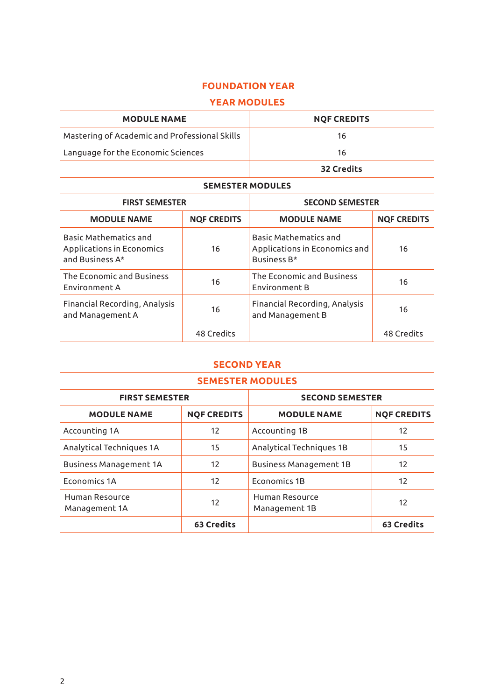# **FOUNDATION YEAR**

| <b>YEAR MODULES</b>                           |                    |
|-----------------------------------------------|--------------------|
| <b>MODULE NAME</b>                            | <b>NOF CREDITS</b> |
| Mastering of Academic and Professional Skills | 16                 |
| Language for the Economic Sciences            | 16                 |
|                                               | 32 Credits         |

#### **SEMESTER MODULES**

| <b>FIRST SEMESTER</b>                                                        |                    | <b>SECOND SEMESTER</b>                                                              |                    |
|------------------------------------------------------------------------------|--------------------|-------------------------------------------------------------------------------------|--------------------|
| <b>MODULE NAME</b>                                                           | <b>NOF CREDITS</b> | <b>MODULE NAME</b>                                                                  | <b>NOF CREDITS</b> |
| <b>Basic Mathematics and</b><br>Applications in Economics<br>and Business A* | 16                 | <b>Basic Mathematics and</b><br>Applications in Economics and<br><b>Business B*</b> | 16                 |
| The Economic and Business<br>Environment A                                   | 16                 | The Economic and Business<br>Environment B                                          | 16                 |
| Financial Recording, Analysis<br>and Management A                            | 16                 | Financial Recording, Analysis<br>and Management B                                   | 16                 |
|                                                                              | 48 Credits         |                                                                                     | 48 Credits         |

# **SECOND YEAR**

| <b>SEMESTER MODULES</b>         |                    |                                 |                    |
|---------------------------------|--------------------|---------------------------------|--------------------|
| <b>FIRST SEMESTER</b>           |                    | <b>SECOND SEMESTER</b>          |                    |
| <b>MODULE NAME</b>              | <b>NOF CREDITS</b> | <b>MODULE NAME</b>              | <b>NOF CREDITS</b> |
| Accounting 1A                   | 12                 | Accounting 1B                   | 12                 |
| Analytical Techniques 1A        | 15                 | Analytical Techniques 1B        | 15                 |
| <b>Business Management 1A</b>   | 12                 | <b>Business Management 1B</b>   | 12                 |
| <b>Economics 1A</b>             | 12                 | <b>Economics 1B</b>             | 12                 |
| Human Resource<br>Management 1A | 12                 | Human Resource<br>Management 1B | 12                 |
|                                 | 63 Credits         |                                 | 63 Credits         |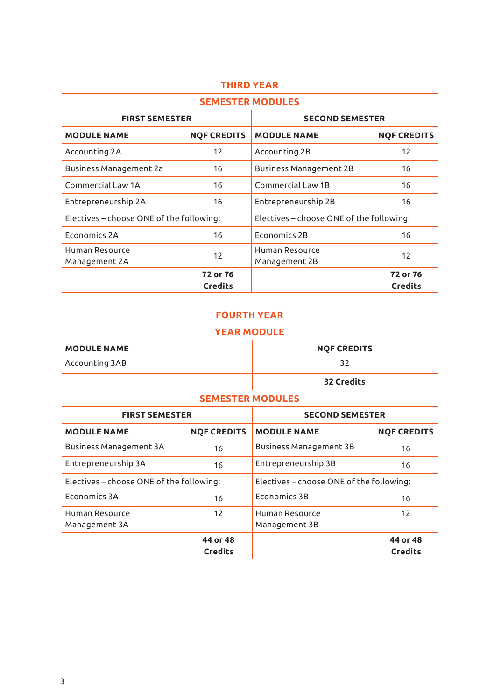| <b>SEMESTER MODULES</b>                  |                            |                                          |                            |
|------------------------------------------|----------------------------|------------------------------------------|----------------------------|
| <b>FIRST SEMESTER</b>                    |                            | <b>SECOND SEMESTER</b>                   |                            |
| <b>MODULE NAME</b>                       | <b>NOF CREDITS</b>         | <b>MODULE NAME</b>                       | <b>NOF CREDITS</b>         |
| Accounting 2A                            | 12                         | Accounting 2B                            | 12                         |
| Business Management 2a                   | 16                         | <b>Business Management 2B</b>            | 16                         |
| Commercial Law 1A                        | 16                         | Commercial Law 1B                        | 16                         |
| Entrepreneurship 2A                      | 16                         | Entrepreneurship 2B                      | 16                         |
| Electives – choose ONE of the following: |                            | Electives - choose ONE of the following: |                            |
| Economics 2A                             | 16                         | Economics 2B                             | 16                         |
| Human Resource<br>Management 2A          | 12                         | Human Resource<br>Management 2B          | 12                         |
|                                          | 72 or 76<br><b>Credits</b> |                                          | 72 or 76<br><b>Credits</b> |

#### **THIRD YEAR**

#### **FOURTH YEAR**

#### **YEAR MODULE**

| <b>MODULE NAME</b> | <b>NOF CREDITS</b> |
|--------------------|--------------------|
| Accounting 3AB     |                    |
|                    | 32 Credits         |

#### **SEMESTER MODULES**

| <b>FIRST SEMESTER</b>                    |                            | <b>SECOND SEMESTER</b>                   |                            |
|------------------------------------------|----------------------------|------------------------------------------|----------------------------|
| <b>MODULE NAME</b>                       | <b>NOF CREDITS</b>         | <b>MODULE NAME</b>                       | <b>NOF CREDITS</b>         |
| <b>Business Management 3A</b>            | 16                         | <b>Business Management 3B</b>            | 16                         |
| Entrepreneurship 3A                      | 16                         | Entrepreneurship 3B                      | 16                         |
| Electives – choose ONE of the following: |                            | Electives - choose ONE of the following: |                            |
| Fronomics 3A                             | 16                         | <b>Economics 3B</b>                      | 16                         |
| Human Resource<br>Management 3A          | 12                         | Human Resource<br>Management 3B          | 12                         |
|                                          | 44 or 48<br><b>Credits</b> |                                          | 44 or 48<br><b>Credits</b> |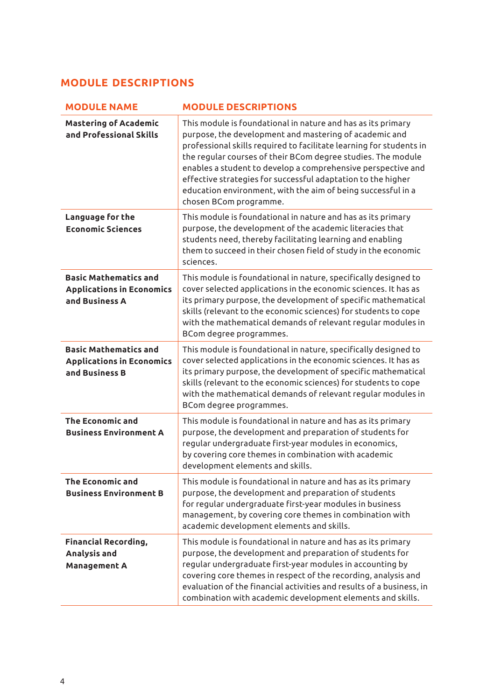# **MODULE DESCRIPTIONS**

| <b>MODULE NAME</b>                                                                 | <b>MODULE DESCRIPTIONS</b>                                                                                                                                                                                                                                                                                                                                                                                                                                                              |
|------------------------------------------------------------------------------------|-----------------------------------------------------------------------------------------------------------------------------------------------------------------------------------------------------------------------------------------------------------------------------------------------------------------------------------------------------------------------------------------------------------------------------------------------------------------------------------------|
| <b>Mastering of Academic</b><br>and Professional Skills                            | This module is foundational in nature and has as its primary<br>purpose, the development and mastering of academic and<br>professional skills required to facilitate learning for students in<br>the regular courses of their BCom degree studies. The module<br>enables a student to develop a comprehensive perspective and<br>effective strategies for successful adaptation to the higher<br>education environment, with the aim of being successful in a<br>chosen BCom programme. |
| Language for the<br><b>Economic Sciences</b>                                       | This module is foundational in nature and has as its primary<br>purpose, the development of the academic literacies that<br>students need, thereby facilitating learning and enabling<br>them to succeed in their chosen field of study in the economic<br>sciences.                                                                                                                                                                                                                    |
| <b>Basic Mathematics and</b><br><b>Applications in Economics</b><br>and Business A | This module is foundational in nature, specifically designed to<br>cover selected applications in the economic sciences. It has as<br>its primary purpose, the development of specific mathematical<br>skills (relevant to the economic sciences) for students to cope<br>with the mathematical demands of relevant regular modules in<br>BCom degree programmes.                                                                                                                       |
| <b>Basic Mathematics and</b><br><b>Applications in Economics</b><br>and Business B | This module is foundational in nature, specifically designed to<br>cover selected applications in the economic sciences. It has as<br>its primary purpose, the development of specific mathematical<br>skills (relevant to the economic sciences) for students to cope<br>with the mathematical demands of relevant regular modules in<br>BCom degree programmes.                                                                                                                       |
| <b>The Economic and</b><br><b>Business Environment A</b>                           | This module is foundational in nature and has as its primary<br>purpose, the development and preparation of students for<br>regular undergraduate first-year modules in economics,<br>by covering core themes in combination with academic<br>development elements and skills.                                                                                                                                                                                                          |
| <b>The Economic and</b><br><b>Business Environment B</b>                           | This module is foundational in nature and has as its primary<br>purpose, the development and preparation of students<br>for regular undergraduate first-year modules in business<br>management, by covering core themes in combination with<br>academic development elements and skills.                                                                                                                                                                                                |
| <b>Financial Recording,</b><br>Analysis and<br>Management A                        | This module is foundational in nature and has as its primary<br>purpose, the development and preparation of students for<br>regular undergraduate first-year modules in accounting by<br>covering core themes in respect of the recording, analysis and<br>evaluation of the financial activities and results of a business, in<br>combination with academic development elements and skills.                                                                                           |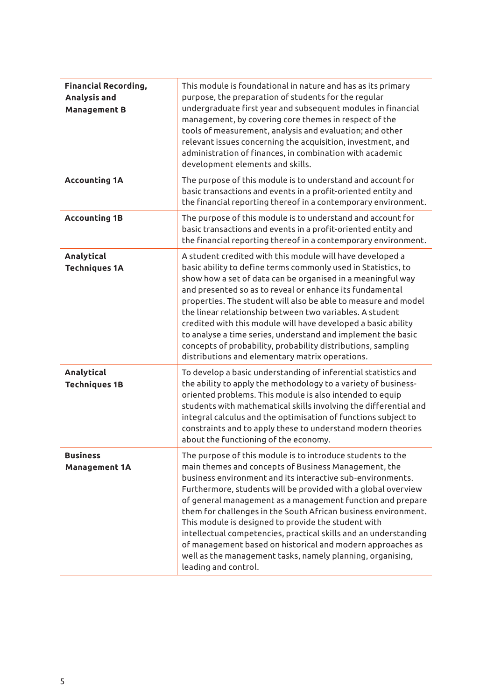| <b>Financial Recording,</b><br>Analysis and<br><b>Management B</b> | This module is foundational in nature and has as its primary<br>purpose, the preparation of students for the regular<br>undergraduate first year and subsequent modules in financial<br>management, by covering core themes in respect of the<br>tools of measurement, analysis and evaluation; and other<br>relevant issues concerning the acquisition, investment, and<br>administration of finances, in combination with academic<br>development elements and skills.                                                                                                                                                                                         |
|--------------------------------------------------------------------|------------------------------------------------------------------------------------------------------------------------------------------------------------------------------------------------------------------------------------------------------------------------------------------------------------------------------------------------------------------------------------------------------------------------------------------------------------------------------------------------------------------------------------------------------------------------------------------------------------------------------------------------------------------|
| <b>Accounting 1A</b>                                               | The purpose of this module is to understand and account for<br>basic transactions and events in a profit-oriented entity and<br>the financial reporting thereof in a contemporary environment.                                                                                                                                                                                                                                                                                                                                                                                                                                                                   |
| <b>Accounting 1B</b>                                               | The purpose of this module is to understand and account for<br>basic transactions and events in a profit-oriented entity and<br>the financial reporting thereof in a contemporary environment.                                                                                                                                                                                                                                                                                                                                                                                                                                                                   |
| Analytical<br><b>Techniques 1A</b>                                 | A student credited with this module will have developed a<br>basic ability to define terms commonly used in Statistics, to<br>show how a set of data can be organised in a meaningful way<br>and presented so as to reveal or enhance its fundamental<br>properties. The student will also be able to measure and model<br>the linear relationship between two variables. A student<br>credited with this module will have developed a basic ability<br>to analyse a time series, understand and implement the basic<br>concepts of probability, probability distributions, sampling<br>distributions and elementary matrix operations.                          |
| Analytical<br><b>Techniques 1B</b>                                 | To develop a basic understanding of inferential statistics and<br>the ability to apply the methodology to a variety of business-<br>oriented problems. This module is also intended to equip<br>students with mathematical skills involving the differential and<br>integral calculus and the optimisation of functions subject to<br>constraints and to apply these to understand modern theories<br>about the functioning of the economy.                                                                                                                                                                                                                      |
| <b>Business</b><br>Management 1A                                   | The purpose of this module is to introduce students to the<br>main themes and concepts of Business Management, the<br>business environment and its interactive sub-environments.<br>Furthermore, students will be provided with a global overview<br>of general management as a management function and prepare<br>them for challenges in the South African business environment.<br>This module is designed to provide the student with<br>intellectual competencies, practical skills and an understanding<br>of management based on historical and modern approaches as<br>well as the management tasks, namely planning, organising,<br>leading and control. |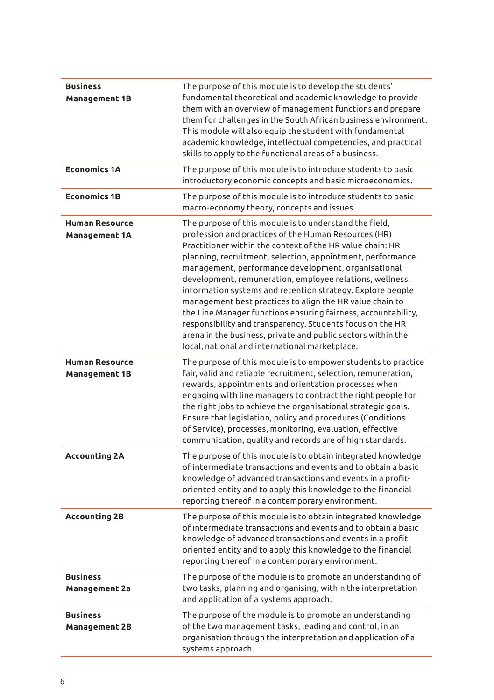| <b>Business</b><br><b>Management 1B</b>       | The purpose of this module is to develop the students'<br>fundamental theoretical and academic knowledge to provide<br>them with an overview of management functions and prepare<br>them for challenges in the South African business environment.<br>This module will also equip the student with fundamental<br>academic knowledge, intellectual competencies, and practical<br>skills to apply to the functional areas of a business.                                                                                                                                                                                                                                                                                               |
|-----------------------------------------------|----------------------------------------------------------------------------------------------------------------------------------------------------------------------------------------------------------------------------------------------------------------------------------------------------------------------------------------------------------------------------------------------------------------------------------------------------------------------------------------------------------------------------------------------------------------------------------------------------------------------------------------------------------------------------------------------------------------------------------------|
| <b>Economics 1A</b>                           | The purpose of this module is to introduce students to basic<br>introductory economic concepts and basic microeconomics.                                                                                                                                                                                                                                                                                                                                                                                                                                                                                                                                                                                                               |
| <b>Economics 1B</b>                           | The purpose of this module is to introduce students to basic<br>macro-economy theory, concepts and issues.                                                                                                                                                                                                                                                                                                                                                                                                                                                                                                                                                                                                                             |
| <b>Human Resource</b><br><b>Management 1A</b> | The purpose of this module is to understand the field,<br>profession and practices of the Human Resources (HR)<br>Practitioner within the context of the HR value chain: HR<br>planning, recruitment, selection, appointment, performance<br>management, performance development, organisational<br>development, remuneration, employee relations, wellness,<br>information systems and retention strategy. Explore people<br>management best practices to align the HR value chain to<br>the Line Manager functions ensuring fairness, accountability,<br>responsibility and transparency. Students focus on the HR<br>arena in the business, private and public sectors within the<br>local, national and international marketplace. |
| <b>Human Resource</b><br><b>Management 1B</b> | The purpose of this module is to empower students to practice<br>fair, valid and reliable recruitment, selection, remuneration,<br>rewards, appointments and orientation processes when<br>engaging with line managers to contract the right people for<br>the right jobs to achieve the organisational strategic goals.<br>Ensure that legislation, policy and procedures (Conditions<br>of Service), processes, monitoring, evaluation, effective<br>communication, quality and records are of high standards.                                                                                                                                                                                                                       |
| Accounting 2A                                 | The purpose of this module is to obtain integrated knowledge<br>of intermediate transactions and events and to obtain a basic<br>knowledge of advanced transactions and events in a profit-<br>oriented entity and to apply this knowledge to the financial<br>reporting thereof in a contemporary environment.                                                                                                                                                                                                                                                                                                                                                                                                                        |
| Accounting 2B                                 | The purpose of this module is to obtain integrated knowledge<br>of intermediate transactions and events and to obtain a basic<br>knowledge of advanced transactions and events in a profit-<br>oriented entity and to apply this knowledge to the financial<br>reporting thereof in a contemporary environment.                                                                                                                                                                                                                                                                                                                                                                                                                        |
| <b>Business</b><br><b>Management 2a</b>       | The purpose of the module is to promote an understanding of<br>two tasks, planning and organising, within the interpretation<br>and application of a systems approach.                                                                                                                                                                                                                                                                                                                                                                                                                                                                                                                                                                 |
| <b>Business</b><br><b>Management 2B</b>       | The purpose of the module is to promote an understanding<br>of the two management tasks, leading and control, in an<br>organisation through the interpretation and application of a<br>systems approach.                                                                                                                                                                                                                                                                                                                                                                                                                                                                                                                               |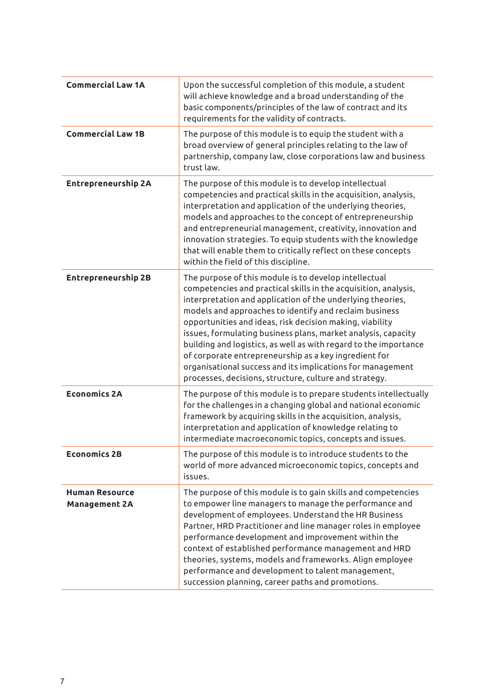| <b>Commercial Law 1A</b>                      | Upon the successful completion of this module, a student<br>will achieve knowledge and a broad understanding of the<br>basic components/principles of the law of contract and its<br>requirements for the validity of contracts.                                                                                                                                                                                                                                                                                                                                                                                                   |
|-----------------------------------------------|------------------------------------------------------------------------------------------------------------------------------------------------------------------------------------------------------------------------------------------------------------------------------------------------------------------------------------------------------------------------------------------------------------------------------------------------------------------------------------------------------------------------------------------------------------------------------------------------------------------------------------|
| <b>Commercial Law 1B</b>                      | The purpose of this module is to equip the student with a<br>broad overview of general principles relating to the law of<br>partnership, company law, close corporations law and business<br>trust law.                                                                                                                                                                                                                                                                                                                                                                                                                            |
| Entrepreneurship 2A                           | The purpose of this module is to develop intellectual<br>competencies and practical skills in the acquisition, analysis,<br>interpretation and application of the underlying theories,<br>models and approaches to the concept of entrepreneurship<br>and entrepreneurial management, creativity, innovation and<br>innovation strategies. To equip students with the knowledge<br>that will enable them to critically reflect on these concepts<br>within the field of this discipline.                                                                                                                                           |
| <b>Entrepreneurship 2B</b>                    | The purpose of this module is to develop intellectual<br>competencies and practical skills in the acquisition, analysis,<br>interpretation and application of the underlying theories,<br>models and approaches to identify and reclaim business<br>opportunities and ideas, risk decision making, viability<br>issues, formulating business plans, market analysis, capacity<br>building and logistics, as well as with regard to the importance<br>of corporate entrepreneurship as a key ingredient for<br>organisational success and its implications for management<br>processes, decisions, structure, culture and strategy. |
| <b>Economics 2A</b>                           | The purpose of this module is to prepare students intellectually<br>for the challenges in a changing global and national economic<br>framework by acquiring skills in the acquisition, analysis,<br>interpretation and application of knowledge relating to<br>intermediate macroeconomic topics, concepts and issues.                                                                                                                                                                                                                                                                                                             |
| <b>Economics 2B</b>                           | The purpose of this module is to introduce students to the<br>world of more advanced microeconomic topics, concepts and<br>issues.                                                                                                                                                                                                                                                                                                                                                                                                                                                                                                 |
| <b>Human Resource</b><br><b>Management 2A</b> | The purpose of this module is to gain skills and competencies<br>to empower line managers to manage the performance and<br>development of employees. Understand the HR Business<br>Partner, HRD Practitioner and line manager roles in employee<br>performance development and improvement within the<br>context of established performance management and HRD<br>theories, systems, models and frameworks. Align employee<br>performance and development to talent management,<br>succession planning, career paths and promotions.                                                                                               |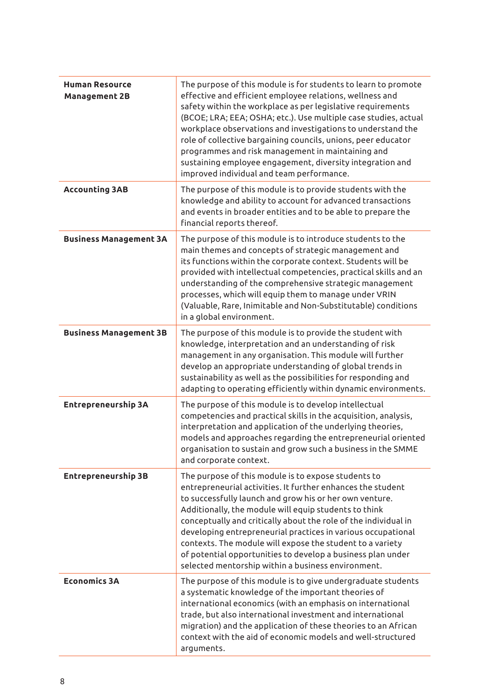| <b>Human Resource</b><br>Management 2B | The purpose of this module is for students to learn to promote<br>effective and efficient employee relations, wellness and<br>safety within the workplace as per legislative requirements<br>(BCOE; LRA; EEA; OSHA; etc.). Use multiple case studies, actual<br>workplace observations and investigations to understand the<br>role of collective bargaining councils, unions, peer educator<br>programmes and risk management in maintaining and<br>sustaining employee engagement, diversity integration and<br>improved individual and team performance. |
|----------------------------------------|-------------------------------------------------------------------------------------------------------------------------------------------------------------------------------------------------------------------------------------------------------------------------------------------------------------------------------------------------------------------------------------------------------------------------------------------------------------------------------------------------------------------------------------------------------------|
| Accounting 3AB                         | The purpose of this module is to provide students with the<br>knowledge and ability to account for advanced transactions<br>and events in broader entities and to be able to prepare the<br>financial reports thereof.                                                                                                                                                                                                                                                                                                                                      |
| <b>Business Management 3A</b>          | The purpose of this module is to introduce students to the<br>main themes and concepts of strategic management and<br>its functions within the corporate context. Students will be<br>provided with intellectual competencies, practical skills and an<br>understanding of the comprehensive strategic management<br>processes, which will equip them to manage under VRIN<br>(Valuable, Rare, Inimitable and Non-Substitutable) conditions<br>in a global environment.                                                                                     |
| <b>Business Management 3B</b>          | The purpose of this module is to provide the student with<br>knowledge, interpretation and an understanding of risk<br>management in any organisation. This module will further<br>develop an appropriate understanding of global trends in<br>sustainability as well as the possibilities for responding and<br>adapting to operating efficiently within dynamic environments.                                                                                                                                                                             |
| Entrepreneurship 3A                    | The purpose of this module is to develop intellectual<br>competencies and practical skills in the acquisition, analysis,<br>interpretation and application of the underlying theories,<br>models and approaches regarding the entrepreneurial oriented<br>organisation to sustain and grow such a business in the SMME<br>and corporate context.                                                                                                                                                                                                            |
| <b>Entrepreneurship 3B</b>             | The purpose of this module is to expose students to<br>entrepreneurial activities. It further enhances the student<br>to successfully launch and grow his or her own venture.<br>Additionally, the module will equip students to think<br>conceptually and critically about the role of the individual in<br>developing entrepreneurial practices in various occupational<br>contexts. The module will expose the student to a variety<br>of potential opportunities to develop a business plan under<br>selected mentorship within a business environment. |
| <b>Economics 3A</b>                    | The purpose of this module is to give undergraduate students<br>a systematic knowledge of the important theories of<br>international economics (with an emphasis on international<br>trade, but also international investment and international<br>migration) and the application of these theories to an African<br>context with the aid of economic models and well-structured<br>arguments.                                                                                                                                                              |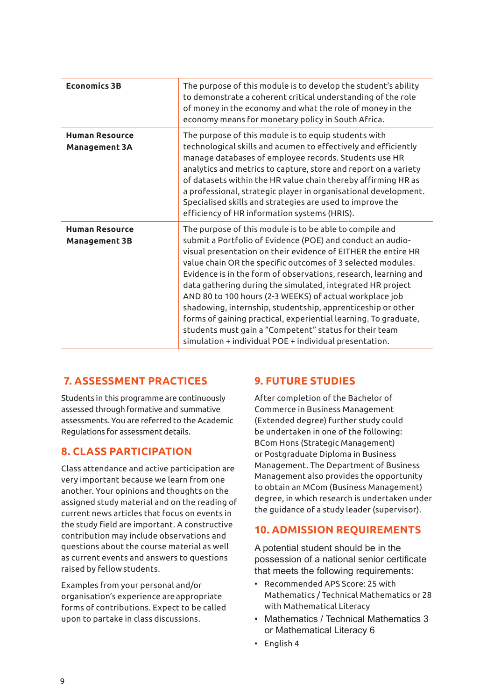| <b>Economics 3B</b>                           | The purpose of this module is to develop the student's ability<br>to demonstrate a coherent critical understanding of the role<br>of money in the economy and what the role of money in the<br>economy means for monetary policy in South Africa.                                                                                                                                                                                                                                                                                                                                                                                                                                                       |
|-----------------------------------------------|---------------------------------------------------------------------------------------------------------------------------------------------------------------------------------------------------------------------------------------------------------------------------------------------------------------------------------------------------------------------------------------------------------------------------------------------------------------------------------------------------------------------------------------------------------------------------------------------------------------------------------------------------------------------------------------------------------|
| <b>Human Resource</b><br><b>Management 3A</b> | The purpose of this module is to equip students with<br>technological skills and acumen to effectively and efficiently<br>manage databases of employee records. Students use HR<br>analytics and metrics to capture, store and report on a variety<br>of datasets within the HR value chain thereby affirming HR as<br>a professional, strategic player in organisational development.<br>Specialised skills and strategies are used to improve the<br>efficiency of HR information systems (HRIS).                                                                                                                                                                                                     |
| <b>Human Resource</b><br><b>Management 3B</b> | The purpose of this module is to be able to compile and<br>submit a Portfolio of Evidence (POE) and conduct an audio-<br>visual presentation on their evidence of EITHER the entire HR<br>value chain OR the specific outcomes of 3 selected modules.<br>Evidence is in the form of observations, research, learning and<br>data gathering during the simulated, integrated HR project<br>AND 80 to 100 hours (2-3 WEEKS) of actual workplace job<br>shadowing, internship, studentship, apprenticeship or other<br>forms of gaining practical, experiential learning. To graduate,<br>students must gain a "Competent" status for their team<br>simulation + individual POE + individual presentation. |

# **7. ASSESSMENT PRACTICES**

Students in this programme are continuously assessed through formative and summative assessments. You are referred to the Academic Regulations for assessment details.

# **8. CLASS PARTICIPATION**

Class attendance and active participation are very important because we learn from one another. Your opinions and thoughts on the assigned study material and on the reading of current news articles that focus on events in the study field are important. A constructive contribution may include observations and questions about the course material as well as current events and answers to questions raised by fellow students.

Examples from your personal and/or organisation's experience are appropriate forms of contributions. Expect to be called upon to partake in class discussions.

# **9. FUTURE STUDIES**

After completion of the Bachelor of Commerce in Business Management (Extended degree) further study could be undertaken in one of the following: BCom Hons (Strategic Management) or Postgraduate Diploma in Business Management. The Department of Business Management also provides the opportunity to obtain an MCom (Business Management) degree, in which research is undertaken under the guidance of a study leader (supervisor).

# **10. ADMISSION REQUIREMENTS**

A potential student should be in the possession of a national senior certificate that meets the following requirements:

- Recommended APS Score: 25 with Mathematics / Technical Mathematics or 28 with Mathematical Literacy
- Mathematics / Technical Mathematics 3 or Mathematical Literacy 6
- English 4